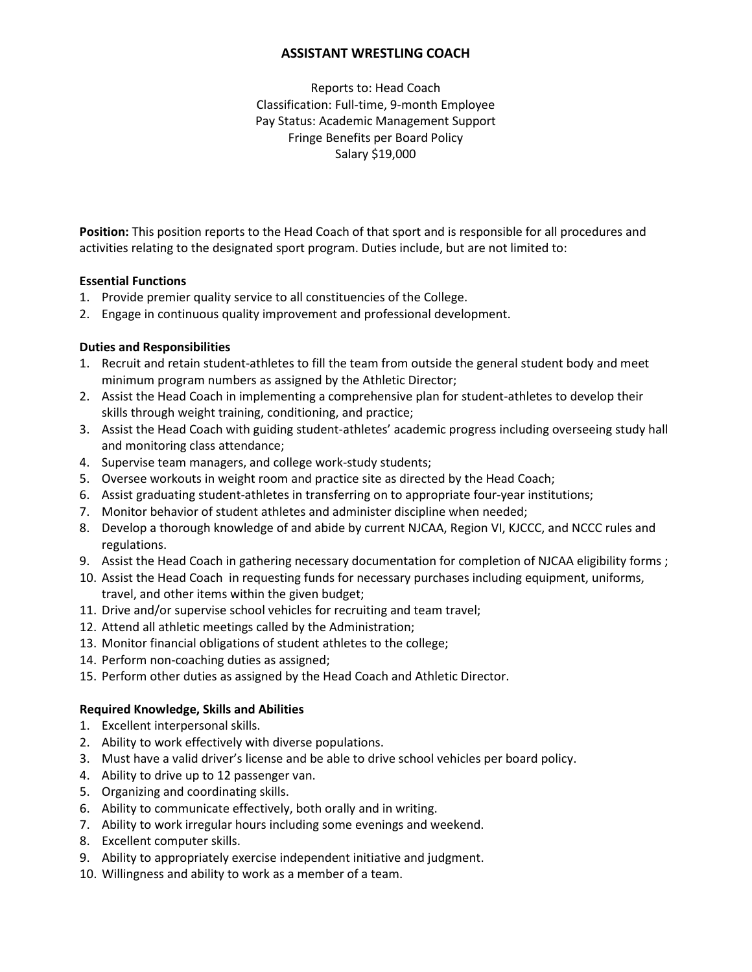# **ASSISTANT WRESTLING COACH**

Reports to: Head Coach Classification: Full-time, 9-month Employee Pay Status: Academic Management Support Fringe Benefits per Board Policy Salary \$19,000

**Position:** This position reports to the Head Coach of that sport and is responsible for all procedures and activities relating to the designated sport program. Duties include, but are not limited to:

## **Essential Functions**

- 1. Provide premier quality service to all constituencies of the College.
- 2. Engage in continuous quality improvement and professional development.

## **Duties and Responsibilities**

- 1. Recruit and retain student-athletes to fill the team from outside the general student body and meet minimum program numbers as assigned by the Athletic Director;
- 2. Assist the Head Coach in implementing a comprehensive plan for student-athletes to develop their skills through weight training, conditioning, and practice;
- 3. Assist the Head Coach with guiding student-athletes' academic progress including overseeing study hall and monitoring class attendance;
- 4. Supervise team managers, and college work-study students;
- 5. Oversee workouts in weight room and practice site as directed by the Head Coach;
- 6. Assist graduating student-athletes in transferring on to appropriate four-year institutions;
- 7. Monitor behavior of student athletes and administer discipline when needed;
- 8. Develop a thorough knowledge of and abide by current NJCAA, Region VI, KJCCC, and NCCC rules and regulations.
- 9. Assist the Head Coach in gathering necessary documentation for completion of NJCAA eligibility forms ;
- 10. Assist the Head Coach in requesting funds for necessary purchases including equipment, uniforms, travel, and other items within the given budget;
- 11. Drive and/or supervise school vehicles for recruiting and team travel;
- 12. Attend all athletic meetings called by the Administration;
- 13. Monitor financial obligations of student athletes to the college;
- 14. Perform non-coaching duties as assigned;
- 15. Perform other duties as assigned by the Head Coach and Athletic Director.

## **Required Knowledge, Skills and Abilities**

- 1. Excellent interpersonal skills.
- 2. Ability to work effectively with diverse populations.
- 3. Must have a valid driver's license and be able to drive school vehicles per board policy.
- 4. Ability to drive up to 12 passenger van.
- 5. Organizing and coordinating skills.
- 6. Ability to communicate effectively, both orally and in writing.
- 7. Ability to work irregular hours including some evenings and weekend.
- 8. Excellent computer skills.
- 9. Ability to appropriately exercise independent initiative and judgment.
- 10. Willingness and ability to work as a member of a team.